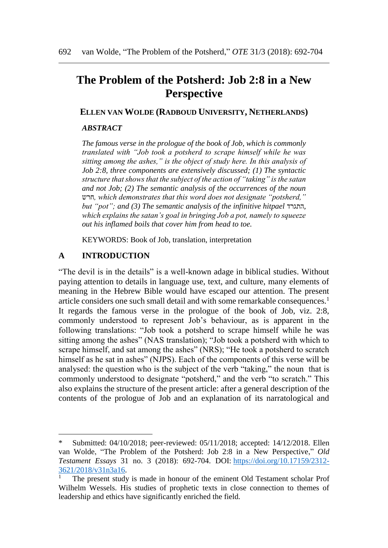# **The Problem of the Potsherd: Job 2:8 in a New Perspective**

**ELLEN VAN WOLDE (RADBOUD UNIVERSITY, NETHERLANDS)**

#### *ABSTRACT*

*The famous verse in the prologue of the book of Job, which is commonly translated with "Job took a potsherd to scrape himself while he was sitting among the ashes," is the object of study here. In this analysis of Job 2:8, three components are extensively discussed; (1) The syntactic structure that shows that the subject of the action of "taking" is the satan and not Job; (2) The semantic analysis of the occurrences of the noun*  חרש*, which demonstrates that this word does not designate "potsherd," but "pot"; and (3) The semantic analysis of the infinitive hitpael* התגרד*, which explains the satan's goal in bringing Job a pot, namely to squeeze out his inflamed boils that cover him from head to toe.* 

KEYWORDS: Book of Job, translation, interpretation

### **A INTRODUCTION**

l

"The devil is in the details" is a well-known adage in biblical studies. Without paying attention to details in language use, text, and culture, many elements of meaning in the Hebrew Bible would have escaped our attention. The present article considers one such small detail and with some remarkable consequences.<sup>1</sup> It regards the famous verse in the prologue of the book of Job, viz. 2:8, commonly understood to represent Job's behaviour, as is apparent in the following translations: "Job took a potsherd to scrape himself while he was sitting among the ashes" (NAS translation); "Job took a potsherd with which to scrape himself, and sat among the ashes" (NRS); "He took a potsherd to scratch himself as he sat in ashes" (NJPS). Each of the components of this verse will be analysed: the question who is the subject of the verb "taking," the noun that is commonly understood to designate "potsherd," and the verb "to scratch." This also explains the structure of the present article: after a general description of the contents of the prologue of Job and an explanation of its narratological and

Submitted: 04/10/2018; peer-reviewed: 05/11/2018; accepted: 14/12/2018. Ellen van Wolde, "The Problem of the Potsherd: Job 2:8 in a New Perspective," *Old Testament Essays* 31 no. 3 (2018): 692-704. DOI: [https://doi.org/10.17159/2312-](https://doi.org/10.17159/2312-3621/2018/v31n3a16) [3621/2018/v31n3a16.](https://doi.org/10.17159/2312-3621/2018/v31n3a16)

<sup>1</sup> The present study is made in honour of the eminent Old Testament scholar Prof Wilhelm Wessels. His studies of prophetic texts in close connection to themes of leadership and ethics have significantly enriched the field.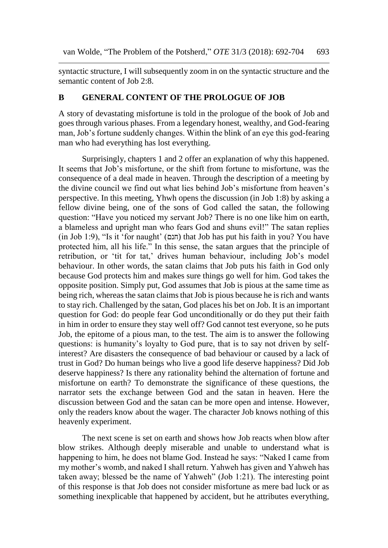syntactic structure, I will subsequently zoom in on the syntactic structure and the semantic content of Job 2:8.

#### **B GENERAL CONTENT OF THE PROLOGUE OF JOB**

A story of devastating misfortune is told in the prologue of the book of Job and goes through various phases. From a legendary honest, wealthy, and God-fearing man, Job's fortune suddenly changes. Within the blink of an eye this god-fearing man who had everything has lost everything.

Surprisingly, chapters 1 and 2 offer an explanation of why this happened. It seems that Job's misfortune, or the shift from fortune to misfortune, was the consequence of a deal made in heaven. Through the description of a meeting by the divine council we find out what lies behind Job's misfortune from heaven's perspective. In this meeting, Yhwh opens the discussion (in Job 1:8) by asking a fellow divine being, one of the sons of God called the satan, the following question: "Have you noticed my servant Job? There is no one like him on earth, a blameless and upright man who fears God and shuns evil!" The satan replies (in Job 1:9), "Is it 'for naught' (חנם) that Job has put his faith in you? You have protected him, all his life." In this sense, the satan argues that the principle of retribution, or 'tit for tat,' drives human behaviour, including Job's model behaviour. In other words, the satan claims that Job puts his faith in God only because God protects him and makes sure things go well for him. God takes the opposite position. Simply put, God assumes that Job is pious at the same time as being rich, whereas the satan claims that Job is pious because he is rich and wants to stay rich. Challenged by the satan, God places his bet on Job. It is an important question for God: do people fear God unconditionally or do they put their faith in him in order to ensure they stay well off? God cannot test everyone, so he puts Job, the epitome of a pious man, to the test. The aim is to answer the following questions: is humanity's loyalty to God pure, that is to say not driven by selfinterest? Are disasters the consequence of bad behaviour or caused by a lack of trust in God? Do human beings who live a good life deserve happiness? Did Job deserve happiness? Is there any rationality behind the alternation of fortune and misfortune on earth? To demonstrate the significance of these questions, the narrator sets the exchange between God and the satan in heaven. Here the discussion between God and the satan can be more open and intense. However, only the readers know about the wager. The character Job knows nothing of this heavenly experiment.

The next scene is set on earth and shows how Job reacts when blow after blow strikes. Although deeply miserable and unable to understand what is happening to him, he does not blame God. Instead he says: "Naked I came from my mother's womb, and naked I shall return. Yahweh has given and Yahweh has taken away; blessed be the name of Yahweh" (Job 1:21). The interesting point of this response is that Job does not consider misfortune as mere bad luck or as something inexplicable that happened by accident, but he attributes everything,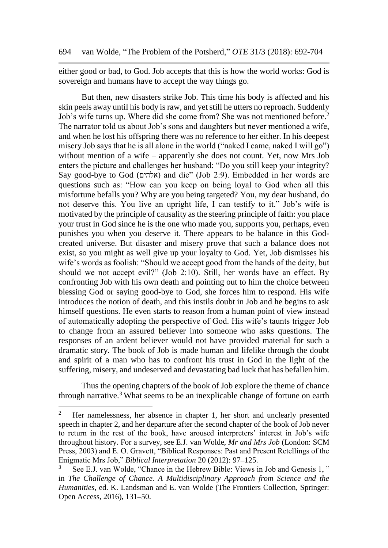either good or bad, to God. Job accepts that this is how the world works: God is sovereign and humans have to accept the way things go.

But then, new disasters strike Job. This time his body is affected and his skin peels away until his body is raw, and yet still he utters no reproach. Suddenly Job's wife turns up. Where did she come from? She was not mentioned before.<sup>2</sup> The narrator told us about Job's sons and daughters but never mentioned a wife, and when he lost his offspring there was no reference to her either. In his deepest misery Job says that he is all alone in the world ("naked I came, naked I will go") without mention of a wife – apparently she does not count. Yet, now Mrs Job enters the picture and challenges her husband: "Do you still keep your integrity? Say good-bye to God (אלהים) and die" (Job 2:9). Embedded in her words are questions such as: "How can you keep on being loyal to God when all this misfortune befalls you? Why are you being targeted? You, my dear husband, do not deserve this. You live an upright life, I can testify to it." Job's wife is motivated by the principle of causality as the steering principle of faith: you place your trust in God since he is the one who made you, supports you, perhaps, even punishes you when you deserve it. There appears to be balance in this Godcreated universe. But disaster and misery prove that such a balance does not exist, so you might as well give up your loyalty to God. Yet, Job dismisses his wife's words as foolish: "Should we accept good from the hands of the deity, but should we not accept evil?" (Job 2:10). Still, her words have an effect. By confronting Job with his own death and pointing out to him the choice between blessing God or saying good-bye to God, she forces him to respond. His wife introduces the notion of death, and this instils doubt in Job and he begins to ask himself questions. He even starts to reason from a human point of view instead of automatically adopting the perspective of God. His wife's taunts trigger Job to change from an assured believer into someone who asks questions. The responses of an ardent believer would not have provided material for such a dramatic story. The book of Job is made human and lifelike through the doubt and spirit of a man who has to confront his trust in God in the light of the suffering, misery, and undeserved and devastating bad luck that has befallen him.

Thus the opening chapters of the book of Job explore the theme of chance through narrative.<sup>3</sup> What seems to be an inexplicable change of fortune on earth

<sup>&</sup>lt;sup>2</sup> Her namelessness, her absence in chapter 1, her short and unclearly presented speech in chapter 2, and her departure after the second chapter of the book of Job never to return in the rest of the book, have aroused interpreters' interest in Job's wife throughout history. For a survey, see E.J. van Wolde, *Mr and Mrs Job* (London: SCM Press, 2003) and E. O. Gravett, "Biblical Responses: Past and Present Retellings of the Enigmatic Mrs Job," *Biblical Interpretation* 20 (2012): 97–125.

See E.J. van Wolde, "Chance in the Hebrew Bible: Views in Job and Genesis 1, " in *The Challenge of Chance. A Multidisciplinary Approach from Science and the Humanities*, ed. K. Landsman and E. van Wolde (The Frontiers Collection, Springer: Open Access, 2016), 131–50.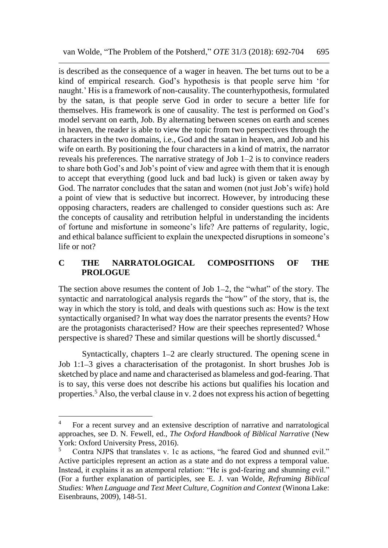is described as the consequence of a wager in heaven. The bet turns out to be a kind of empirical research. God's hypothesis is that people serve him 'for naught.' His is a framework of non-causality. The counterhypothesis, formulated by the satan, is that people serve God in order to secure a better life for themselves. His framework is one of causality. The test is performed on God's model servant on earth, Job. By alternating between scenes on earth and scenes in heaven, the reader is able to view the topic from two perspectives through the characters in the two domains, i.e., God and the satan in heaven, and Job and his wife on earth. By positioning the four characters in a kind of matrix, the narrator reveals his preferences. The narrative strategy of Job 1–2 is to convince readers to share both God's and Job's point of view and agree with them that it is enough to accept that everything (good luck and bad luck) is given or taken away by God. The narrator concludes that the satan and women (not just Job's wife) hold a point of view that is seductive but incorrect. However, by introducing these opposing characters, readers are challenged to consider questions such as: Are the concepts of causality and retribution helpful in understanding the incidents of fortune and misfortune in someone's life? Are patterns of regularity, logic, and ethical balance sufficient to explain the unexpected disruptions in someone's life or not?

# **C THE NARRATOLOGICAL COMPOSITIONS OF THE PROLOGUE**

The section above resumes the content of Job 1–2, the "what" of the story. The syntactic and narratological analysis regards the "how" of the story, that is, the way in which the story is told, and deals with questions such as: How is the text syntactically organised? In what way does the narrator presents the events? How are the protagonists characterised? How are their speeches represented? Whose perspective is shared? These and similar questions will be shortly discussed.<sup>4</sup>

Syntactically, chapters 1–2 are clearly structured. The opening scene in Job 1:1–3 gives a characterisation of the protagonist. In short brushes Job is sketched by place and name and characterised as blameless and god-fearing. That is to say, this verse does not describe his actions but qualifies his location and properties.<sup>5</sup> Also, the verbal clause in v. 2 does not express his action of begetting

 $\overline{a}$ 

<sup>4</sup> For a recent survey and an extensive description of narrative and narratological approaches, see D. N. Fewell, ed., *The Oxford Handbook of Biblical Narrative* (New York: Oxford University Press, 2016).

<sup>5</sup> Contra NJPS that translates v. 1c as actions, "he feared God and shunned evil." Active participles represent an action as a state and do not express a temporal value. Instead, it explains it as an atemporal relation: "He is god-fearing and shunning evil." (For a further explanation of participles, see E. J. van Wolde, *Reframing Biblical Studies: When Language and Text Meet Culture, Cognition and Context (Winona Lake:* Eisenbrauns, 2009), 148-51.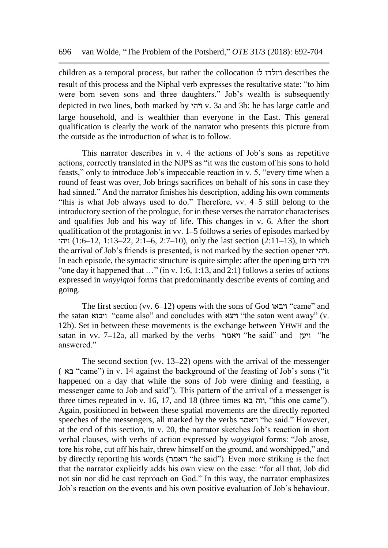children as a temporal process, but rather the collocation לו ויולדו describes the result of this process and the Niphal verb expresses the resultative state: "to him were born seven sons and three daughters." Job's wealth is subsequently depicted in two lines, both marked by ויהי v. 3a and 3b: he has large cattle and large household, and is wealthier than everyone in the East. This general qualification is clearly the work of the narrator who presents this picture from the outside as the introduction of what is to follow.

This narrator describes in v. 4 the actions of Job's sons as repetitive actions, correctly translated in the NJPS as "it was the custom of his sons to hold feasts," only to introduce Job's impeccable reaction in v. 5, "every time when a round of feast was over, Job brings sacrifices on behalf of his sons in case they had sinned." And the narrator finishes his description, adding his own comments "this is what Job always used to do." Therefore, vv. 4–5 still belong to the introductory section of the prologue, for in these verses the narrator characterises and qualifies Job and his way of life. This changes in v. 6. After the short qualification of the protagonist in vv. 1–5 follows a series of episodes marked by ויהי $(1:6–12, 1:13–22, 2:1–6, 2:7–10)$ , only the last section  $(2:11–13)$ , in which the arrival of Job's friends is presented, is not marked by the section opener ויהי. In each episode, the syntactic structure is quite simple: after the opening היום ויהי "one day it happened that ..." (in v. 1:6, 1:13, and 2:1) follows a series of actions expressed in *wayyiqtol* forms that predominantly describe events of coming and going.

The first section (vv. 6–12) opens with the sons of God ויבאו" came" and the satan ויבוא" came also" and concludes with ויצא" the satan went away" (v. 12b). Set in between these movements is the exchange between YHWH and the satan in vv. 7–12a, all marked by the verbs ויאמר" he said" and ויען" he answered."

The second section (vv. 13–22) opens with the arrival of the messenger ( בא" came") in v. 14 against the background of the feasting of Job's sons ("it happened on a day that while the sons of Job were dining and feasting, a messenger came to Job and said"). This pattern of the arrival of a messenger is three times repeated in v. 16, 17, and 18 (three times בא וזה," this one came"). Again, positioned in between these spatial movements are the directly reported speeches of the messengers, all marked by the verbs ויאמר" he said." However, at the end of this section, in v. 20, the narrator sketches Job's reaction in short verbal clauses, with verbs of action expressed by *wayyiqtol* forms: "Job arose, tore his robe, cut off his hair, threw himself on the ground, and worshipped," and by directly reporting his words (ויאמר" he said"). Even more striking is the fact that the narrator explicitly adds his own view on the case: "for all that, Job did not sin nor did he cast reproach on God." In this way, the narrator emphasizes Job's reaction on the events and his own positive evaluation of Job's behaviour.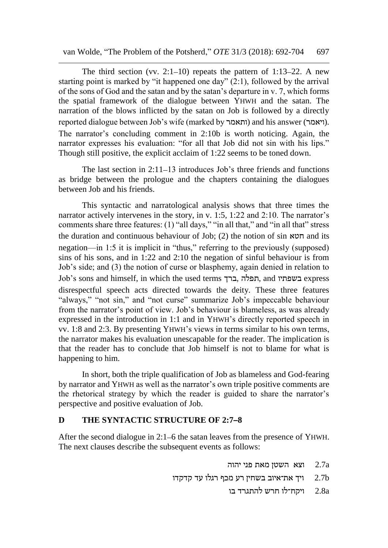The third section (vv. 2:1–10) repeats the pattern of 1:13–22. A new starting point is marked by "it happened one day" (2:1), followed by the arrival of the sons of God and the satan and by the satan's departure in v. 7, which forms the spatial framework of the dialogue between YHWH and the satan. The narration of the blows inflicted by the satan on Job is followed by a directly reported dialogue between Job's wife (marked by ותאמר) and his answer (ויאמר). The narrator's concluding comment in 2:10b is worth noticing. Again, the narrator expresses his evaluation: "for all that Job did not sin with his lips." Though still positive, the explicit acclaim of 1:22 seems to be toned down.

The last section in 2:11–13 introduces Job's three friends and functions as bridge between the prologue and the chapters containing the dialogues between Job and his friends.

This syntactic and narratological analysis shows that three times the narrator actively intervenes in the story, in v. 1:5, 1:22 and 2:10. The narrator's comments share three features: (1) "all days," "in all that," and "in all that" stress the duration and continuous behaviour of Job; (2) the notion of sin  $\pi$  and its negation—in 1:5 it is implicit in "thus," referring to the previously (supposed) sins of his sons, and in 1:22 and 2:10 the negation of sinful behaviour is from Job's side; and (3) the notion of curse or blasphemy, again denied in relation to Job's sons and himself, in which the used terms ברך, תפלה, and בשפתיו express disrespectful speech acts directed towards the deity. These three features "always," "not sin," and "not curse" summarize Job's impeccable behaviour from the narrator's point of view. Job's behaviour is blameless, as was already expressed in the introduction in 1:1 and in YHWH's directly reported speech in vv. 1:8 and 2:3. By presenting YHWH's views in terms similar to his own terms, the narrator makes his evaluation unescapable for the reader. The implication is that the reader has to conclude that Job himself is not to blame for what is happening to him.

In short, both the triple qualification of Job as blameless and God-fearing by narrator and YHWH as well as the narrator's own triple positive comments are the rhetorical strategy by which the reader is guided to share the narrator's perspective and positive evaluation of Job.

## **D THE SYNTACTIC STRUCTURE OF 2:7–8**

After the second dialogue in 2:1–6 the satan leaves from the presence of YHWH. The next clauses describe the subsequent events as follows:

- וצא השטן מאת פני יהוה 2.7a
- ויך את־איוב בשחין רע מכף רגלו עד קדקדו 2.7b
	- ויקח־לו חרש להתגרד בו  $2.8a$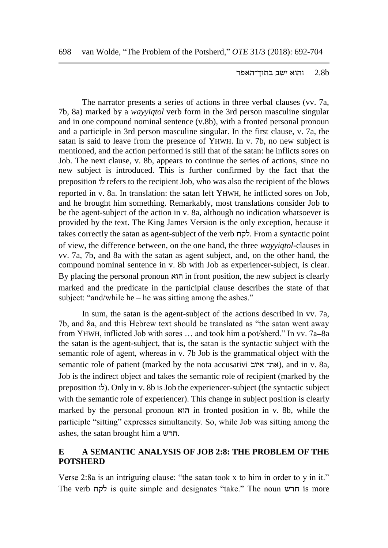והוא ישב בתוך־האפר  $2.8\mathrm{b}$ 

The narrator presents a series of actions in three verbal clauses (vv. 7a, 7b, 8a) marked by a *wayyiqtol* verb form in the 3rd person masculine singular and in one compound nominal sentence (v.8b), with a fronted personal pronoun and a participle in 3rd person masculine singular. In the first clause, v. 7a, the satan is said to leave from the presence of YHWH. In v. 7b, no new subject is mentioned, and the action performed is still that of the satan: he inflicts sores on Job. The next clause, v. 8b, appears to continue the series of actions, since no new subject is introduced. This is further confirmed by the fact that the preposition לו refers to the recipient Job, who was also the recipient of the blows reported in v. 8a. In translation: the satan left YHWH, he inflicted sores on Job, and he brought him something. Remarkably, most translations consider Job to be the agent-subject of the action in v. 8a, although no indication whatsoever is provided by the text. The King James Version is the only exception, because it takes correctly the satan as agent-subject of the verb לקח. From a syntactic point of view, the difference between, on the one hand, the three *wayyiqtol*-clauses in vv. 7a, 7b, and 8a with the satan as agent subject, and, on the other hand, the compound nominal sentence in v. 8b with Job as experiencer-subject, is clear. By placing the personal pronoun הוא  $\overline{\text{m}}$  in front position, the new subject is clearly marked and the predicate in the participial clause describes the state of that subject: "and/while he – he was sitting among the ashes."

In sum, the satan is the agent-subject of the actions described in vv. 7a, 7b, and 8a, and this Hebrew text should be translated as "the satan went away from YHWH, inflicted Job with sores … and took him a pot/sherd." In vv. 7a–8a the satan is the agent-subject, that is, the satan is the syntactic subject with the semantic role of agent, whereas in v. 7b Job is the grammatical object with the semantic role of patient (marked by the nota accusativi את־ איוב), and in v. 8a, Job is the indirect object and takes the semantic role of recipient (marked by the preposition לו(. Only in v. 8b is Job the experiencer-subject (the syntactic subject with the semantic role of experiencer). This change in subject position is clearly marked by the personal pronoun הוא in fronted position in v. 8b, while the participle "sitting" expresses simultaneity. So, while Job was sitting among the ashes, the satan brought him a חרש.

# **E A SEMANTIC ANALYSIS OF JOB 2:8: THE PROBLEM OF THE POTSHERD**

Verse 2:8a is an intriguing clause: "the satan took x to him in order to y in it." The verb לקח is quite simple and designates "take." The noun חרש is more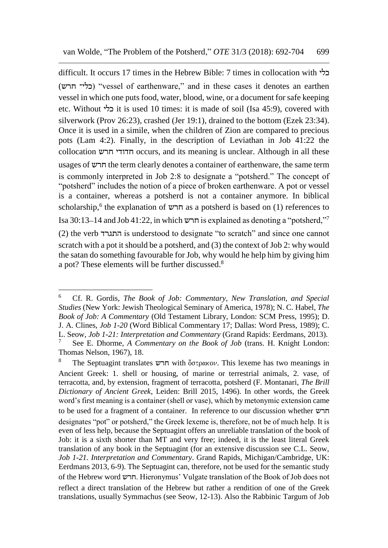difficult. It occurs 17 times in the Hebrew Bible: 7 times in collocation with כלי (כלי־ חרש) (cessel of earthenware," and in these cases it denotes an earthen vessel in which one puts food, water, blood, wine, or a document for safe keeping etc. Without כלי it is used 10 times: it is made of soil (Isa 45:9), covered with silverwork (Prov 26:23), crashed (Jer 19:1), drained to the bottom (Ezek 23:34). Once it is used in a simile, when the children of Zion are compared to precious pots (Lam 4:2). Finally, in the description of Leviathan in Job 41:22 the collocation חרש חדודי occurs, and its meaning is unclear. Although in all these usages of חרש the term clearly denotes a container of earthenware, the same term is commonly interpreted in Job 2:8 to designate a "potsherd." The concept of "potsherd" includes the notion of a piece of broken earthenware. A pot or vessel is a container, whereas a potsherd is not a container anymore. In biblical scholarship,<sup>6</sup> the explanation of חרש as a potsherd is based on (1) references to Isa 30:13–14 and Job 41:22, in which חרש is explained as denoting a "potsherd,"<sup>7</sup> (2) the verb התגרד is understood to designate "to scratch" and since one cannot scratch with a pot it should be a potsherd, and (3) the context of Job 2: why would the satan do something favourable for Job, why would he help him by giving him a pot? These elements will be further discussed.<sup>8</sup>

l

<sup>6</sup> Cf. R. Gordis, *The Book of Job: Commentary, New Translation, and Special Studies* (New York: Jewish Theological Seminary of America, 1978); N. C. Habel, *The Book of Job: A Commentary* (Old Testament Library, London: SCM Press, 1995); D. J. A. Clines, *Job 1-20* (Word Biblical Commentary 17; Dallas: Word Press, 1989); C. L. Seow, *Job 1-21: Interpretation and Commentary* (Grand Rapids: Eerdmans, 2013).

<sup>7</sup> See E. Dhorme, *A Commentary on the Book of Job* (trans. H. Knight London: Thomas Nelson, 1967), 18.

The Septuagint translates  $π$ π with ὄστρακον. This lexeme has two meanings in Ancient Greek: 1. shell or housing, of marine or terrestrial animals, 2. vase, of terracotta, and, by extension, fragment of terracotta, potsherd (F. Montanari, *The Brill Dictionary of Ancient Greek*, Leiden: Brill 2015, 1496). In other words, the Greek word's first meaning is a container (shell or vase), which by metonymic extension came to be used for a fragment of a container. In reference to our discussion whether חרש designates "pot" or potsherd," the Greek lexeme is, therefore, not be of much help. It is even of less help, because the Septuagint offers an unreliable translation of the book of Job: it is a sixth shorter than MT and very free; indeed, it is the least literal Greek translation of any book in the Septuagint (for an extensive discussion see C.L. Seow, *Job 1-21. Interpretation and Commentary*. Grand Rapids, Michigan/Cambridge, UK: Eerdmans 2013, 6-9). The Septuagint can, therefore, not be used for the semantic study of the Hebrew word חרש. Hieronymus' Vulgate translation of the Book of Job does not reflect a direct translation of the Hebrew but rather a rendition of one of the Greek translations, usually Symmachus (see Seow, 12-13). Also the Rabbinic Targum of Job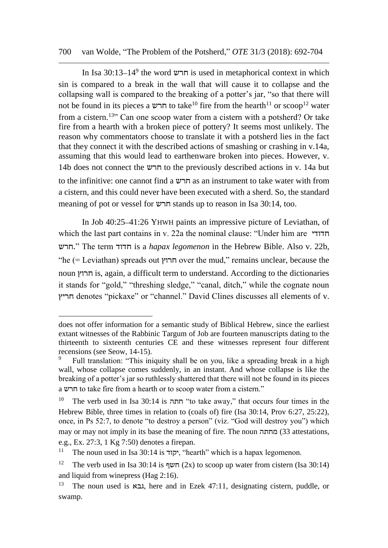#### 700 van Wolde, "The Problem of the Potsherd," *OTE* 31/3 (2018): 692-704

In Isa 30:13-14<sup>9</sup> the word חרש is used in metaphorical context in which sin is compared to a break in the wall that will cause it to collapse and the collapsing wall is compared to the breaking of a potter's jar, "so that there will not be found in its pieces a חרש to take<sup>10</sup> fire from the hearth<sup>11</sup> or scoop<sup>12</sup> water from a cistern.<sup>13</sup>" Can one scoop water from a cistern with a potsherd? Or take fire from a hearth with a broken piece of pottery? It seems most unlikely. The reason why commentators choose to translate it with a potsherd lies in the fact that they connect it with the described actions of smashing or crashing in v.14a, assuming that this would lead to earthenware broken into pieces. However, v. 14b does not connect the חרש to the previously described actions in v. 14a but to the infinitive: one cannot find a חרש as an instrument to take water with from a cistern, and this could never have been executed with a sherd. So, the standard meaning of pot or vessel for חרש stands up to reason in Isa 30:14, too.

In Job 40:25–41:26 YHWH paints an impressive picture of Leviathan, of which the last part contains in v. 22a the nominal clause: "Under him are חדודי חרש. "The term חדוד is a *hapax legomenon* in the Hebrew Bible. Also v. 22b, "he (= Leviathan) spreads out חרוץ over the mud," remains unclear, because the noun חרוץ is, again, a difficult term to understand. According to the dictionaries it stands for "gold," "threshing sledge," "canal, ditch," while the cognate noun חריץ denotes "pickaxe" or "channel." David Clines discusses all elements of v.

l

does not offer information for a semantic study of Biblical Hebrew, since the earliest extant witnesses of the Rabbinic Targum of Job are fourteen manuscripts dating to the thirteenth to sixteenth centuries CE and these witnesses represent four different recensions (see Seow, 14-15).<br><sup>9</sup> Eull translation: "This ini-

Full translation: "This iniquity shall be on you, like a spreading break in a high wall, whose collapse comes suddenly, in an instant. And whose collapse is like the breaking of a potter's jar so ruthlessly shattered that there will not be found in its pieces a חרש to take fire from a hearth or to scoop water from a cistern."

<sup>&</sup>lt;sup>10</sup> The verb used in Isa 30:14 is חתה "to take away," that occurs four times in the Hebrew Bible, three times in relation to (coals of) fire (Isa 30:14, Prov 6:27, 25:22), once, in Ps 52:7, to denote "to destroy a person" (viz. "God will destroy you") which may or may not imply in its base the meaning of fire. The noun מחתה) 33 attestations, e.g., Ex. 27:3, 1 Kg 7:50) denotes a firepan.

<sup>&</sup>lt;sup>11</sup> The noun used in Isa 30:14 is יקוד, "hearth" which is a hapax legomenon.

<sup>&</sup>lt;sup>12</sup> The verb used in Isa 30:14 is חשף)  $(2x)$  to scoop up water from cistern (Isa 30:14) and liquid from winepress (Hag 2:16).

<sup>&</sup>lt;sup>13</sup> The noun used is  $\lambda \in \mathbb{R}$ , here and in Ezek 47:11, designating cistern, puddle, or swamp.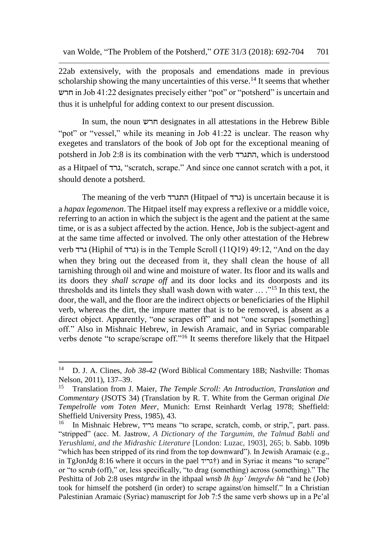22ab extensively, with the proposals and emendations made in previous scholarship showing the many uncertainties of this verse.<sup>14</sup> It seems that whether חרש in Job 41:22 designates precisely either "pot" or "potsherd" is uncertain and thus it is unhelpful for adding context to our present discussion.

In sum, the noun חרש designates in all attestations in the Hebrew Bible "pot" or "vessel," while its meaning in Job 41:22 is unclear. The reason why exegetes and translators of the book of Job opt for the exceptional meaning of potsherd in Job 2:8 is its combination with the verb התגרד, which is understood as a Hitpael of גרד, "scratch, scrape." And since one cannot scratch with a pot, it should denote a potsherd.

The meaning of the verb התגרד) Hitpael of גרד (is uncertain because it is a *hapax legomenon*. The Hitpael itself may express a reflexive or a middle voice, referring to an action in which the subject is the agent and the patient at the same time, or is as a subject affected by the action. Hence, Job is the subject-agent and at the same time affected or involved. The only other attestation of the Hebrew verb גרד) Hiphil of גרד (is in the Temple Scroll (11Q19) 49:12, "And on the day when they bring out the deceased from it, they shall clean the house of all tarnishing through oil and wine and moisture of water. Its floor and its walls and its doors they *shall scrape off* and its door locks and its doorposts and its thresholds and its lintels they shall wash down with water … ."<sup>15</sup> In this text, the door, the wall, and the floor are the indirect objects or beneficiaries of the Hiphil verb, whereas the dirt, the impure matter that is to be removed, is absent as a direct object. Apparently, "one scrapes off" and not "one scrapes [something] off." Also in Mishnaic Hebrew, in Jewish Aramaic, and in Syriac comparable verbs denote "to scrape/scrape off."<sup>16</sup> It seems therefore likely that the Hitpael

l

<sup>14</sup> D. J. A. Clines, *Job 38-42* (Word Biblical Commentary 18B; Nashville: Thomas Nelson, 2011), 137–39.

<sup>15</sup> Translation from J. Maier, *The Temple Scroll: An Introduction, Translation and Commentary* (JSOTS 34) (Translation by R. T. White from the German original *Die Tempelrolle vom Toten Meer*, Munich: Ernst Reinhardt Verlag 1978; Sheffield: Sheffield University Press, 1985), 43.

<sup>16</sup> In Mishnaic Hebrew, גריד means "to scrape, scratch, comb, or strip,", part. pass. "stripped" (acc. M. Jastrow, *A Dictionary of the Targumim, the Talmud Babli and Yerushlami, and the Midrashic Literature* [London: Luzac, 1903], 265; b. Sabb. 109b "which has been stripped of its rind from the top downward"). In Jewish Aramaic (e.g., in TgJonJdg 8:16 where it occurs in the pael  $\uparrow \downarrow \uparrow$ ) and in Syriac it means "to scrape" or "to scrub (off)," or, less specifically, "to drag (something) across (something)." The Peshitta of Job 2:8 uses *mtgrdw* in the ithpaal *wnsb lh ḥṣp' lmtgrdw bh* "and he (Job) took for himself the potsherd (in order) to scrape against/on himself." In a Christian Palestinian Aramaic (Syriac) manuscript for Job 7:5 the same verb shows up in a Pe'al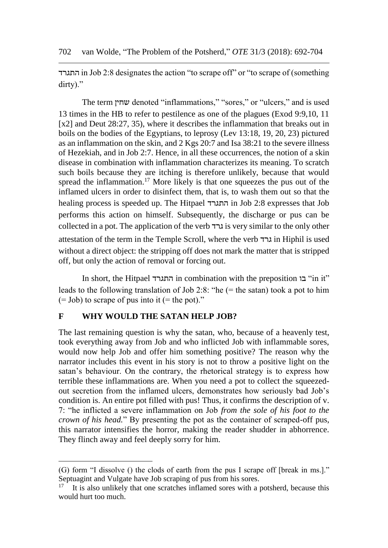התגרד in Job 2:8 designates the action "to scrape off" or "to scrape of (something dirty)."

The term שחין denoted "inflammations," "sores," or "ulcers," and is used 13 times in the HB to refer to pestilence as one of the plagues (Exod 9:9,10, 11 [x2] and Deut 28:27, 35), where it describes the inflammation that breaks out in boils on the bodies of the Egyptians, to leprosy (Lev 13:18, 19, 20, 23) pictured as an inflammation on the skin, and 2 Kgs 20:7 and Isa 38:21 to the severe illness of Hezekiah, and in Job 2:7. Hence, in all these occurrences, the notion of a skin disease in combination with inflammation characterizes its meaning. To scratch such boils because they are itching is therefore unlikely, because that would spread the inflammation.<sup>17</sup> More likely is that one squeezes the pus out of the inflamed ulcers in order to disinfect them, that is, to wash them out so that the healing process is speeded up. The Hitpael התגרד in Job 2:8 expresses that Job performs this action on himself. Subsequently, the discharge or pus can be collected in a pot. The application of the verb גרד is very similar to the only other attestation of the term in the Temple Scroll, where the verb גרד in Hiphil is used without a direct object: the stripping off does not mark the matter that is stripped off, but only the action of removal or forcing out.

In short, the Hitpael התגרד in combination with the preposition בו" in it" leads to the following translation of Job 2:8: "he (= the satan) took a pot to him  $(=$  Job) to scrape of pus into it  $(=$  the pot)."

# **F WHY WOULD THE SATAN HELP JOB?**

 $\overline{a}$ 

The last remaining question is why the satan, who, because of a heavenly test, took everything away from Job and who inflicted Job with inflammable sores, would now help Job and offer him something positive? The reason why the narrator includes this event in his story is not to throw a positive light on the satan's behaviour. On the contrary, the rhetorical strategy is to express how terrible these inflammations are. When you need a pot to collect the squeezedout secretion from the inflamed ulcers, demonstrates how seriously bad Job's condition is. An entire pot filled with pus! Thus, it confirms the description of v. 7: "he inflicted a severe inflammation on Job *from the sole of his foot to the crown of his head.*" By presenting the pot as the container of scraped-off pus, this narrator intensifies the horror, making the reader shudder in abhorrence. They flinch away and feel deeply sorry for him.

<sup>(</sup>G) form "I dissolve () the clods of earth from the pus I scrape off [break in ms.]." Septuagint and Vulgate have Job scraping of pus from his sores.

<sup>17</sup> It is also unlikely that one scratches inflamed sores with a potsherd, because this would hurt too much.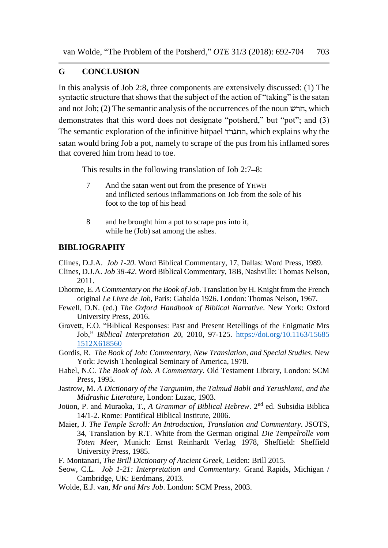## **G CONCLUSION**

In this analysis of Job 2:8, three components are extensively discussed: (1) The syntactic structure that shows that the subject of the action of "taking" is the satan and not Job; (2) The semantic analysis of the occurrences of the noun חרש, which demonstrates that this word does not designate "potsherd," but "pot"; and (3) The semantic exploration of the infinitive hitpael התגרד, which explains why the satan would bring Job a pot, namely to scrape of the pus from his inflamed sores that covered him from head to toe.

This results in the following translation of Job 2:7–8:

- 7 And the satan went out from the presence of YHWH and inflicted serious inflammations on Job from the sole of his foot to the top of his head
- 8 and he brought him a pot to scrape pus into it, while he (Job) sat among the ashes.

## **BIBLIOGRAPHY**

Clines, D.J.A. *Job 1-20*. Word Biblical Commentary, 17, Dallas: Word Press, 1989.

- Clines, D.J.A. *Job 38-42*. Word Biblical Commentary, 18B, Nashville: Thomas Nelson, 2011.
- Dhorme, E. *A Commentary on the Book of Job*. Translation by H. Knight from the French original *Le Livre de Job*, Paris: Gabalda 1926. London: Thomas Nelson, 1967.
- Fewell, D.N. (ed.) *The Oxford Handbook of Biblical Narrative*. New York: Oxford University Press, 2016.
- Gravett, E.O. "Biblical Responses: Past and Present Retellings of the Enigmatic Mrs Job," *Biblical Interpretation* 20, 2010, 97-125. [https://doi.org/10.1163/15685](https://doi.org/10.1163/15685%201512X618560)  [1512X618560](https://doi.org/10.1163/15685%201512X618560)
- Gordis, R. *The Book of Job: Commentary, New Translation, and Special Studies*. New York: Jewish Theological Seminary of America, 1978.
- Habel, N.C. *The Book of Job. A Commentary*. Old Testament Library, London: SCM Press, 1995.
- Jastrow, M. *A Dictionary of the Targumim, the Talmud Babli and Yerushlami, and the Midrashic Literature*, London: Luzac, 1903.
- Joüon, P. and Muraoka, T., *A Grammar of Biblical Hebrew*. 2nd ed. Subsidia Biblica 14/1-2. Rome: Pontifical Biblical Institute, 2006.
- Maier, J. *The Temple Scroll: An Introduction, Translation and Commentary*. JSOTS, 34, Translation by R.T. White from the German original *Die Tempelrolle vom Toten Meer*, Munich: Ernst Reinhardt Verlag 1978, Sheffield: Sheffield University Press, 1985.
- F. Montanari, *The Brill Dictionary of Ancient Greek*, Leiden: Brill 2015.
- Seow, C.L. *Job 1-21: Interpretation and Commentary*. Grand Rapids, Michigan / Cambridge, UK: Eerdmans, 2013.
- Wolde, E.J. van, *Mr and Mrs Job*. London: SCM Press, 2003.